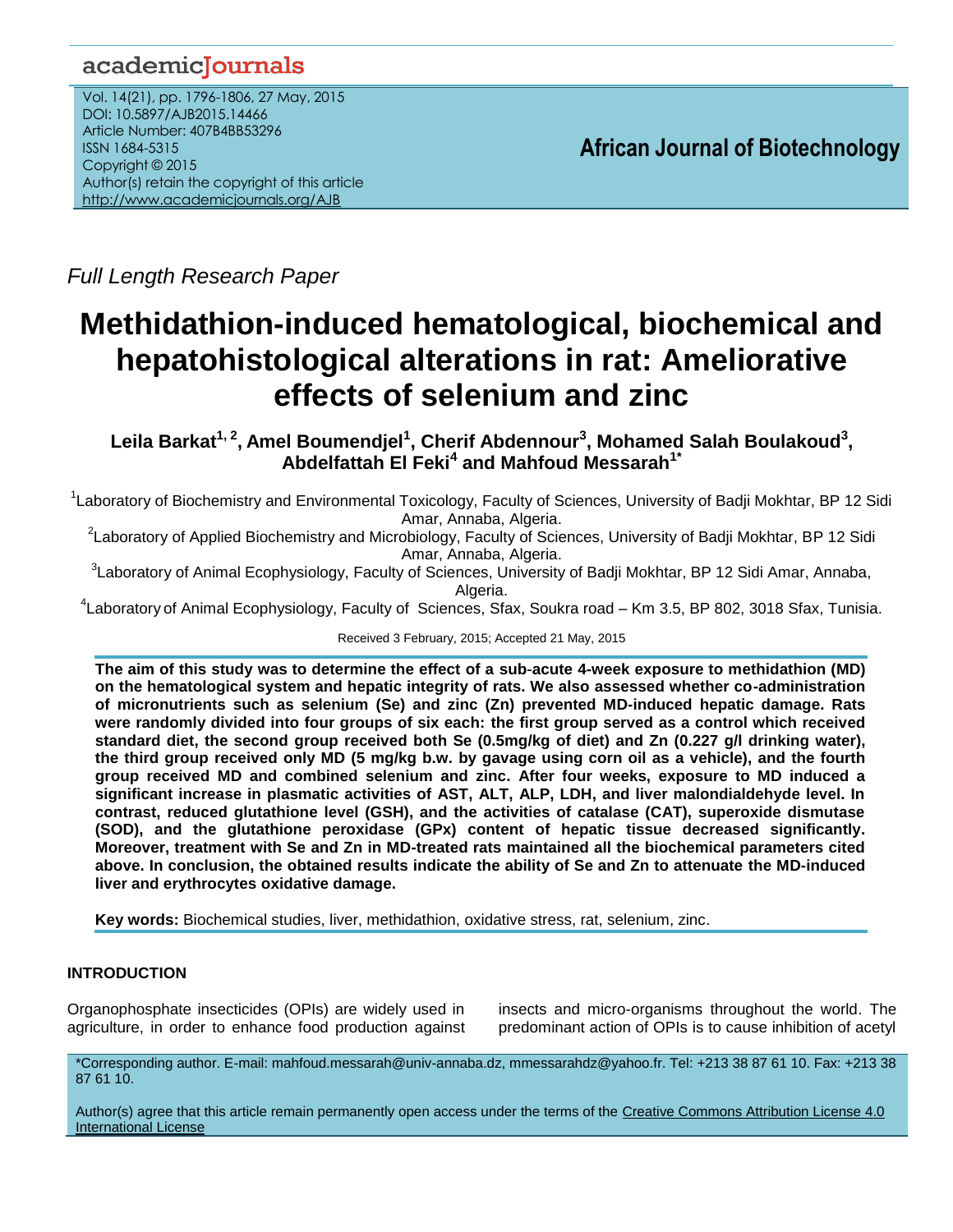# academicJournals

Vol. 14(21), pp. 1796-1806, 27 May, 2015 DOI: 10.5897/AJB2015.14466 Article Number: 407B4BB53296 ISSN 1684-5315 Copyright © 2015 Author(s) retain the copyright of this article <http://www.academicjournals.org/AJB>

**African Journal of Biotechnology**

*Full Length Research Paper*

# **Methidathion-induced hematological, biochemical and hepatohistological alterations in rat: Ameliorative effects of selenium and zinc**

**Leila Barkat1, 2 , Amel Boumendjel<sup>1</sup> , Cherif Abdennour<sup>3</sup> , Mohamed Salah Boulakoud<sup>3</sup> , Abdelfattah El Feki<sup>4</sup> and Mahfoud Messarah1\***

<sup>1</sup>Laboratory of Biochemistry and Environmental Toxicology, Faculty of Sciences, University of Badji Mokhtar, BP 12 Sidi Amar, Annaba, Algeria.

<sup>2</sup>Laboratory of Applied Biochemistry and Microbiology, Faculty of Sciences, University of Badji Mokhtar, BP 12 Sidi Amar, Annaba, Algeria.

<sup>3</sup>Laboratory of Animal Ecophysiology, Faculty of Sciences, University of Badji Mokhtar, BP 12 Sidi Amar, Annaba, Algeria.

4 Laboratory of Animal Ecophysiology, Faculty of Sciences, Sfax, Soukra road – Km 3.5, BP 802, 3018 Sfax, Tunisia.

Received 3 February, 2015; Accepted 21 May, 2015

**The aim of this study was to determine the effect of a sub**-**acute 4-week exposure to methidathion (MD) on the hematological system and hepatic integrity of rats. We also assessed whether co-administration of micronutrients such as selenium (Se) and zinc (Zn) prevented MD-induced hepatic damage. Rats were randomly divided into four groups of six each: the first group served as a control which received standard diet, the second group received both Se (0.5mg/kg of diet) and Zn (0.227 g/l drinking water), the third group received only MD (5 mg/kg b.w. by gavage using corn oil as a vehicle), and the fourth group received MD and combined selenium and zinc. After four weeks, exposure to MD induced a significant increase in plasmatic activities of AST, ALT, ALP, LDH, and liver malondialdehyde level. In contrast, reduced glutathione level (GSH), and the activities of catalase (CAT), superoxide dismutase (SOD), and the glutathione peroxidase (GPx) content of hepatic tissue decreased significantly. Moreover, treatment with Se and Zn in MD-treated rats maintained all the biochemical parameters cited above. In conclusion, the obtained results indicate the ability of Se and Zn to attenuate the MD-induced liver and erythrocytes oxidative damage.**

**Key words:** Biochemical studies, liver, methidathion, oxidative stress, rat, selenium, zinc.

# **INTRODUCTION**

Organophosphate insecticides (OPIs) are widely used in agriculture, in order to enhance food production against

insects and micro-organisms throughout the world. The predominant action of OPIs is to cause inhibition of acetyl

\*Corresponding author. E-mail: mahfoud.messarah@univ-annaba.dz, mmessarahdz@yahoo.fr. Tel: +213 38 87 61 10. Fax: +213 38 87 61 10.

Author(s) agree that this article remain permanently open access under the terms of the Creative Commons Attribution License 4.0 [International License](http://creativecommons.org/licenses/by/4.0/deed.en_US)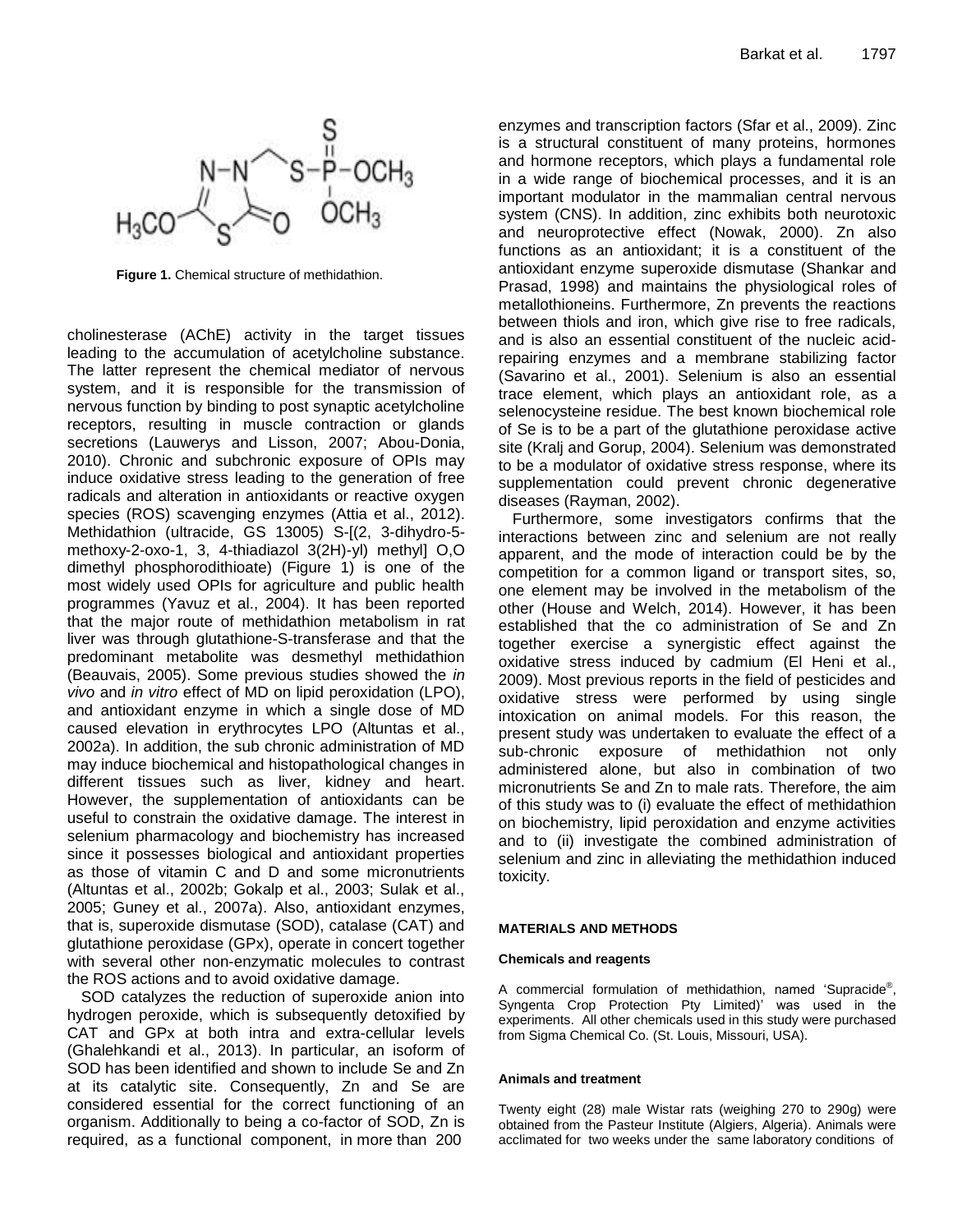

**Figure 1.** Chemical structure of methidathion.

cholinesterase (AChE) activity in the target tissues leading to the accumulation of acetylcholine substance. The latter represent the chemical mediator of nervous system, and it is responsible for the transmission of nervous function by binding to post synaptic acetylcholine receptors, resulting in muscle contraction or glands secretions (Lauwerys and Lisson, 2007; Abou-Donia, 2010). Chronic and subchronic exposure of OPIs may induce oxidative stress leading to the generation of free radicals and alteration in antioxidants or reactive oxygen species (ROS) scavenging enzymes (Attia et al., 2012). Methidathion (ultracide, GS 13005) S-[(2, 3-dihydro-5 methoxy-2-oxo-1, 3, 4-thiadiazol 3(2H)-yl) methyl] O,O dimethyl phosphorodithioate) (Figure 1) is one of the most widely used OPIs for agriculture and public health programmes (Yavuz et al., 2004). It has been reported that the major route of methidathion metabolism in rat liver was through glutathione-S-transferase and that the predominant metabolite was desmethyl methidathion (Beauvais, 2005). Some previous studies showed the *in vivo* and *in vitro* effect of MD on lipid peroxidation (LPO), and antioxidant enzyme in which a single dose of MD caused elevation in erythrocytes LPO (Altuntas et al., 2002a). In addition, the sub chronic administration of MD may induce biochemical and histopathological changes in different tissues such as liver, kidney and heart. However, the supplementation of antioxidants can be useful to constrain the oxidative damage. The interest in selenium pharmacology and biochemistry has increased since it possesses biological and antioxidant properties as those of vitamin C and D and some micronutrients (Altuntas et al., 2002b; Gokalp et al., 2003; Sulak et al., 2005; Guney et al., 2007a). Also, antioxidant enzymes, that is, superoxide dismutase (SOD), catalase (CAT) and glutathione peroxidase (GPx), operate in concert together with several other non-enzymatic molecules to contrast the ROS actions and to avoid oxidative damage.

SOD catalyzes the reduction of superoxide anion into hydrogen peroxide, which is subsequently detoxified by CAT and GPx at both intra and extra-cellular levels (Ghalehkandi et al., 2013). In particular, an isoform of SOD has been identified and shown to include Se and Zn at its catalytic site. Consequently, Zn and Se are considered essential for the correct functioning of an organism. Additionally to being a co-factor of SOD, Zn is required, as a functional component, in more than 200

enzymes and transcription factors (Sfar et al., 2009). Zinc is a structural constituent of many proteins, hormones and hormone receptors, which plays a fundamental role in a wide range of biochemical processes, and it is an important modulator in the mammalian central nervous system (CNS). In addition, zinc exhibits both neurotoxic and neuroprotective effect (Nowak, 2000). Zn also functions as an antioxidant; it is a constituent of the antioxidant enzyme superoxide dismutase [\(Shankar and](http://www.ncbi.nlm.nih.gov/pubmed?term=Shankar%20AH%5BAuthor%5D&cauthor=true&cauthor_uid=9701160)  [Prasad,](http://www.ncbi.nlm.nih.gov/pubmed?term=Prasad%20AS%5BAuthor%5D&cauthor=true&cauthor_uid=9701160) 1998) and maintains the physiological roles of metallothioneins. Furthermore, Zn prevents the reactions between thiols and iron, which give rise to free radicals, and is also an essential constituent of the nucleic acidrepairing enzymes and a membrane stabilizing factor (Savarino et al., 2001). Selenium is also an essential trace element, which plays an antioxidant role, as a selenocysteine residue. The best known biochemical role of Se is to be a part of the glutathione peroxidase active site (Kralj and Gorup, 2004). Selenium was demonstrated to be a modulator of oxidative stress response, where its supplementation could prevent chronic degenerative diseases (Rayman, 2002).

Furthermore, some investigators confirms that the interactions between zinc and selenium are not really apparent, and the mode of interaction could be by the competition for a common ligand or transport sites, so, one element may be involved in the metabolism of the other (House and Welch, 2014). However, it has been established that the co administration of Se and Zn together exercise a synergistic effect against the oxidative stress induced by cadmium (El Heni et al., 2009). Most previous reports in the field of pesticides and oxidative stress were performed by using single intoxication on animal models. For this reason, the present study was undertaken to evaluate the effect of a sub-chronic exposure of methidathion not only administered alone, but also in combination of two micronutrients Se and Zn to male rats. Therefore, the aim of this study was to (i) evaluate the effect of methidathion on biochemistry, lipid peroxidation and enzyme activities and to (ii) investigate the combined administration of selenium and zinc in alleviating the methidathion induced toxicity.

#### **MATERIALS AND METHODS**

#### **Chemicals and reagents**

A commercial formulation of methidathion, named 'Supracide®, Syngenta Crop Protection Pty Limited)' was used in the experiments. All other chemicals used in this study were purchased from Sigma Chemical Co. (St. Louis, Missouri, USA).

#### **Animals and treatment**

Twenty eight (28) male Wistar rats (weighing 270 to 290g) were obtained from the Pasteur Institute (Algiers, Algeria). Animals were acclimated for two weeks under the same laboratory conditions of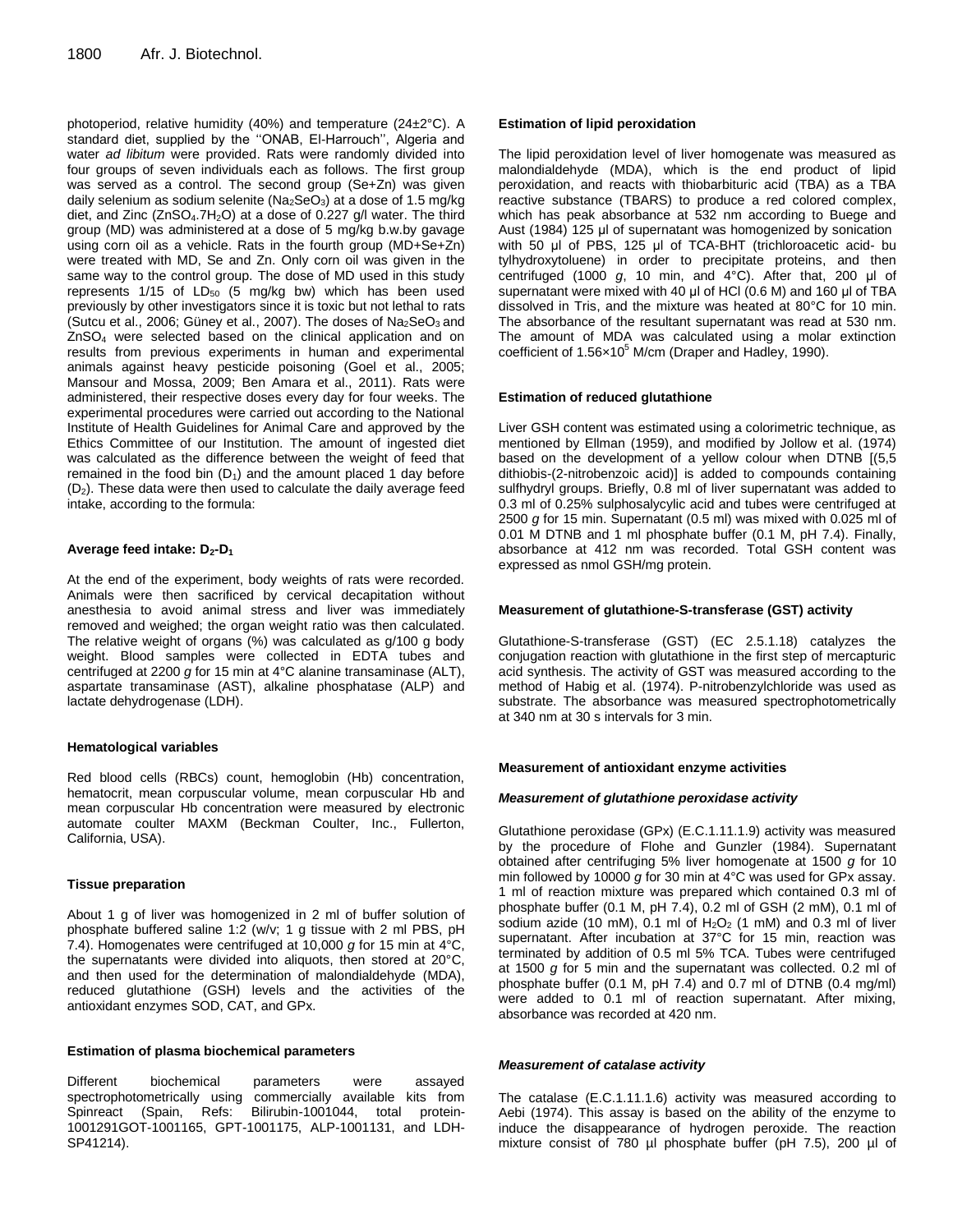photoperiod, relative humidity (40%) and temperature (24±2°C). A standard diet, supplied by the ''ONAB, El-Harrouch'', Algeria and water *ad libitum* were provided. Rats were randomly divided into four groups of seven individuals each as follows. The first group was served as a control. The second group (Se+Zn) was given daily selenium as sodium selenite ( $Na<sub>2</sub>SeO<sub>3</sub>$ ) at a dose of 1.5 mg/kg diet, and Zinc (ZnSO<sub>4</sub>.7H<sub>2</sub>O) at a dose of 0.227 g/l water. The third group (MD) was administered at a dose of 5 mg/kg b.w.by gavage using corn oil as a vehicle. Rats in the fourth group (MD+Se+Zn) were treated with MD, Se and Zn. Only corn oil was given in the same way to the control group. The dose of MD used in this study represents  $1/15$  of  $LD_{50}$  (5 mg/kg bw) which has been used previously by other investigators since it is toxic but not lethal to rats (Sutcu et al., 2006; Güney et al., 2007). The doses of  $Na<sub>2</sub>SeO<sub>3</sub>$  and ZnSO<sup>4</sup> were selected based on the clinical application and on results from previous experiments in human and experimental animals against heavy pesticide poisoning (Goel et al., 2005; Mansour and Mossa, 2009; Ben Amara et al., 2011). Rats were administered, their respective doses every day for four weeks. The experimental procedures were carried out according to the National Institute of Health Guidelines for Animal Care and approved by the Ethics Committee of our Institution. The amount of ingested diet was calculated as the difference between the weight of feed that remained in the food bin  $(D_1)$  and the amount placed 1 day before (D2). These data were then used to calculate the daily average feed intake, according to the formula:

#### **Average feed intake: D2-D<sup>1</sup>**

At the end of the experiment, body weights of rats were recorded. Animals were then sacrificed by cervical decapitation without anesthesia to avoid animal stress and liver was immediately removed and weighed; the organ weight ratio was then calculated. The relative weight of organs (%) was calculated as g/100 g body weight. Blood samples were collected in EDTA tubes and centrifuged at 2200 *g* for 15 min at 4°C alanine transaminase (ALT), aspartate transaminase (AST), alkaline phosphatase (ALP) and lactate dehydrogenase (LDH).

#### **Hematological variables**

Red blood cells (RBCs) count, hemoglobin (Hb) concentration, hematocrit, mean corpuscular volume, mean corpuscular Hb and mean corpuscular Hb concentration were measured by electronic automate coulter MAXM (Beckman Coulter, Inc., Fullerton, California, USA).

#### **Tissue preparation**

About 1 g of liver was homogenized in 2 ml of buffer solution of phosphate buffered saline 1:2 (w/v; 1 g tissue with 2 ml PBS, pH 7.4). Homogenates were centrifuged at 10,000 *g* for 15 min at 4°C, the supernatants were divided into aliquots, then stored at 20°C, and then used for the determination of malondialdehyde (MDA), reduced glutathione (GSH) levels and the activities of the antioxidant enzymes SOD, CAT, and GPx.

#### **Estimation of plasma biochemical parameters**

Different biochemical parameters were assayed spectrophotometrically using commercially available kits from Spinreact (Spain, Refs: Bilirubin-1001044, total protein-1001291GOT-1001165, GPT-1001175, ALP-1001131, and LDH-SP41214).

#### **Estimation of lipid peroxidation**

The lipid peroxidation level of liver homogenate was measured as malondialdehyde (MDA), which is the end product of lipid peroxidation, and reacts with thiobarbituric acid (TBA) as a TBA reactive substance (TBARS) to produce a red colored complex, which has peak absorbance at 532 nm according to Buege and Aust (1984) 125 μl of supernatant was homogenized by sonication with 50 μl of PBS, 125 μl of TCA-BHT (trichloroacetic acid- bu tylhydroxytoluene) in order to precipitate proteins, and then centrifuged (1000 *g*, 10 min, and 4°C). After that, 200 μl of supernatant were mixed with 40 μl of HCl (0.6 M) and 160 μl of TBA dissolved in Tris, and the mixture was heated at 80°C for 10 min. The absorbance of the resultant supernatant was read at 530 nm. The amount of MDA was calculated using a molar extinction coefficient of  $1.56\times10^5$  M/cm (Draper and Hadley, 1990).

# **Estimation of reduced glutathione**

Liver GSH content was estimated using a colorimetric technique, as mentioned by Ellman (1959), and modified by Jollow et al. (1974) based on the development of a yellow colour when DTNB [(5,5 dithiobis-(2-nitrobenzoic acid)] is added to compounds containing sulfhydryl groups. Briefly, 0.8 ml of liver supernatant was added to 0.3 ml of 0.25% sulphosalycylic acid and tubes were centrifuged at 2500 *g* for 15 min. Supernatant (0.5 ml) was mixed with 0.025 ml of 0.01 M DTNB and 1 ml phosphate buffer (0.1 M, pH 7.4). Finally, absorbance at 412 nm was recorded. Total GSH content was expressed as nmol GSH/mg protein.

#### **Measurement of glutathione-S-transferase (GST) activity**

Glutathione-S-transferase (GST) (EC 2.5.1.18) catalyzes the conjugation reaction with glutathione in the first step of mercapturic acid synthesis. The activity of GST was measured according to the method of Habig et al. (1974). P-nitrobenzylchloride was used as substrate. The absorbance was measured spectrophotometrically at 340 nm at 30 s intervals for 3 min.

#### **Measurement of antioxidant enzyme activities**

#### *Measurement of glutathione peroxidase activity*

Glutathione peroxidase (GPx) (E.C.1.11.1.9) activity was measured by the procedure of Flohe and Gunzler (1984). Supernatant obtained after centrifuging 5% liver homogenate at 1500 *g* for 10 min followed by 10000 *g* for 30 min at 4°C was used for GPx assay. 1 ml of reaction mixture was prepared which contained 0.3 ml of phosphate buffer (0.1 M, pH 7.4), 0.2 ml of GSH (2 mM), 0.1 ml of sodium azide (10 mM), 0.1 ml of  $H<sub>2</sub>O<sub>2</sub>$  (1 mM) and 0.3 ml of liver supernatant. After incubation at 37°C for 15 min, reaction was terminated by addition of 0.5 ml 5% TCA. Tubes were centrifuged at 1500 *g* for 5 min and the supernatant was collected. 0.2 ml of phosphate buffer (0.1 M, pH 7.4) and 0.7 ml of DTNB (0.4 mg/ml) were added to 0.1 ml of reaction supernatant. After mixing, absorbance was recorded at 420 nm.

#### *Measurement of catalase activity*

The catalase (E.C.1.11.1.6) activity was measured according to Aebi (1974). This assay is based on the ability of the enzyme to induce the disappearance of hydrogen peroxide. The reaction mixture consist of 780 µl phosphate buffer (pH 7.5), 200 µl of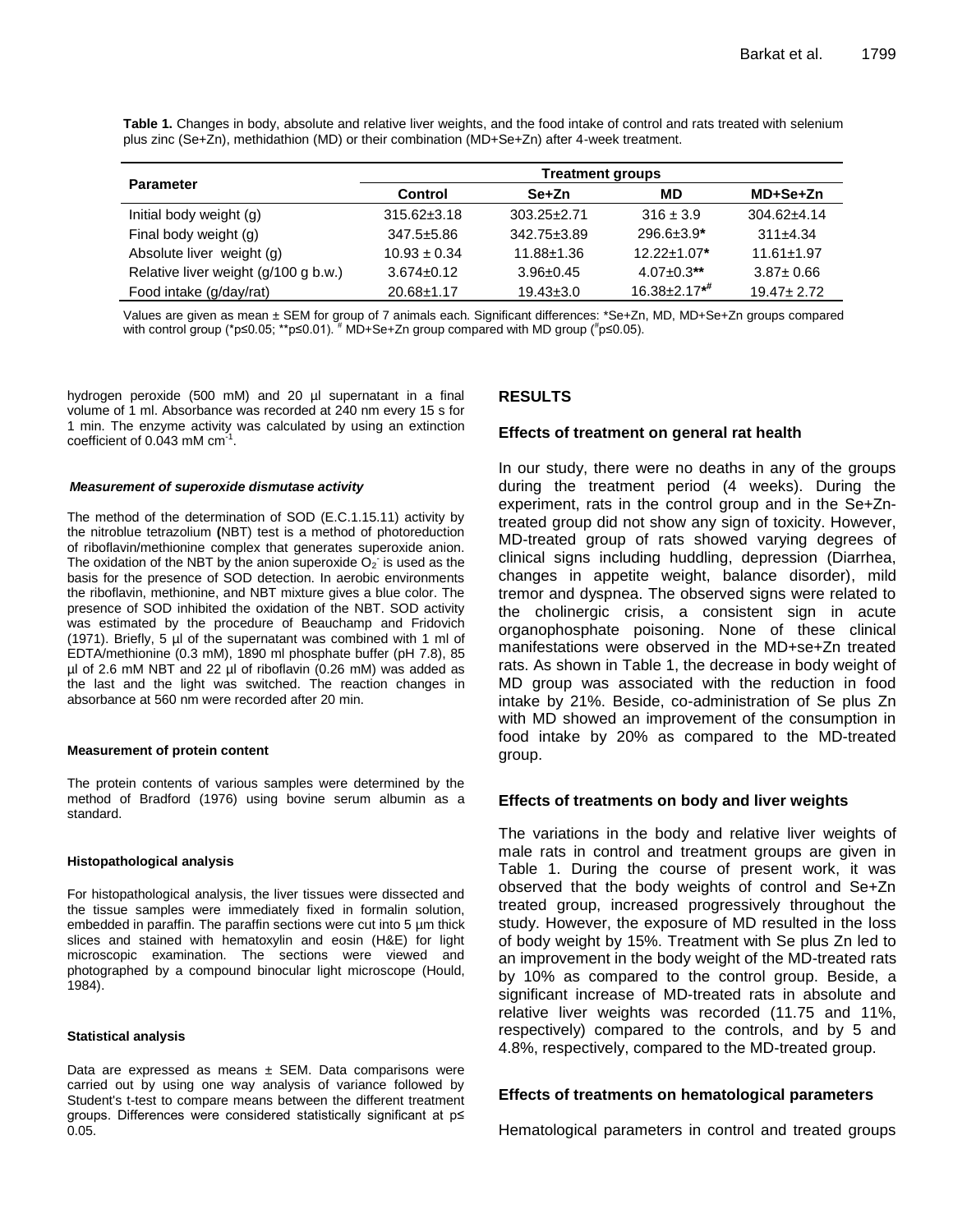**Table 1.** Changes in body, absolute and relative liver weights, and the food intake of control and rats treated with selenium plus zinc (Se+Zn), methidathion (MD) or their combination (MD+Se+Zn) after 4-week treatment.

|                                      | <b>Treatment groups</b> |                   |                                 |                  |  |
|--------------------------------------|-------------------------|-------------------|---------------------------------|------------------|--|
| <b>Parameter</b>                     | Control                 | Se+Zn             | MD                              | MD+Se+Zn         |  |
| Initial body weight (g)              | $315.62 \pm 3.18$       | $303.25 \pm 2.71$ | $316 \pm 3.9$                   | $304.62 + 4.14$  |  |
| Final body weight (g)                | 347.5±5.86              | 342.75±3.89       | $296.6 \pm 3.9^*$               | $311\pm4.34$     |  |
| Absolute liver weight (g)            | $10.93 \pm 0.34$        | $11.88 \pm 1.36$  | $12.22 \pm 1.07$ *              | $11.61 \pm 1.97$ |  |
| Relative liver weight (g/100 g b.w.) | $3.674 \pm 0.12$        | $3.96 \pm 0.45$   | $4.07 \pm 0.3$ **               | $3.87 \pm 0.66$  |  |
| Food intake (g/day/rat)              | 20.68±1.17              | $19.43 \pm 3.0$   | $16.38 \pm 2.17$ * <sup>#</sup> | $19.47 \pm 2.72$ |  |

Values are given as mean ± SEM for group of 7 animals each. Significant differences: \*Se+Zn, MD, MD+Se+Zn groups compared with control group (\*p≤0.05; \*\*p≤0.01). <sup>#</sup> MD+Se+Zn group compared with MD group (<sup>#</sup>p≤0.05).

hydrogen peroxide (500 mM) and 20 µl supernatant in a final volume of 1 ml. Absorbance was recorded at 240 nm every 15 s for 1 min. The enzyme activity was calculated by using an extinction coefficient of 0.043 mM  $cm<sup>3</sup>$ .

#### *Measurement of superoxide dismutase activity*

The method of the determination of SOD (E.C.1.15.11) activity by the nitroblue tetrazolium **(**NBT) test is a method of photoreduction of riboflavin/methionine complex that generates superoxide anion. The oxidation of the NBT by the anion superoxide  $O_2$  is used as the basis for the presence of SOD detection. In aerobic environments the riboflavin, methionine, and NBT mixture gives a blue color. The presence of SOD inhibited the oxidation of the NBT. SOD activity was estimated by the procedure of Beauchamp and Fridovich (1971). Briefly, 5 µl of the supernatant was combined with 1 ml of EDTA/methionine (0.3 mM), 1890 ml phosphate buffer (pH 7.8), 85 µl of 2.6 mM NBT and 22 µl of riboflavin (0.26 mM) was added as the last and the light was switched. The reaction changes in absorbance at 560 nm were recorded after 20 min.

#### **Measurement of protein content**

The protein contents of various samples were determined by the method of Bradford (1976) using bovine serum albumin as a standard.

#### **Histopathological analysis**

For histopathological analysis, the liver tissues were dissected and the tissue samples were immediately fixed in formalin solution, embedded in paraffin. The paraffin sections were cut into 5 µm thick slices and stained with hematoxylin and eosin (H&E) for light microscopic examination. The sections were viewed and photographed by a compound binocular light microscope (Hould, 1984).

#### **Statistical analysis**

Data are expressed as means  $\pm$  SEM. Data comparisons were carried out by using one way analysis of variance followed by Student's t-test to compare means between the different treatment groups. Differences were considered statistically significant at p≤ 0.05.

# **RESULTS**

# **Effects of treatment on general rat health**

In our study, there were no deaths in any of the groups during the treatment period (4 weeks). During the experiment, rats in the control group and in the Se+Zntreated group did not show any sign of toxicity. However, MD-treated group of rats showed varying degrees of clinical signs including huddling, depression (Diarrhea, changes in appetite weight, balance disorder), mild tremor and dyspnea. The observed signs were related to the cholinergic crisis, a consistent sign in acute organophosphate poisoning. None of these clinical manifestations were observed in the MD+se+Zn treated rats. As shown in Table 1, the decrease in body weight of MD group was associated with the reduction in food intake by 21%. Beside, co-administration of Se plus Zn with MD showed an improvement of the consumption in food intake by 20% as compared to the MD-treated group.

# **Effects of treatments on body and liver weights**

The variations in the body and relative liver weights of male rats in control and treatment groups are given in Table 1. During the course of present work, it was observed that the body weights of control and Se+Zn treated group, increased progressively throughout the study. However, the exposure of MD resulted in the loss of body weight by 15%. Treatment with Se plus Zn led to an improvement in the body weight of the MD-treated rats by 10% as compared to the control group. Beside, a significant increase of MD-treated rats in absolute and relative liver weights was recorded (11.75 and 11%, respectively) compared to the controls, and by 5 and 4.8%, respectively, compared to the MD-treated group.

# **Effects of treatments on hematological parameters**

Hematological parameters in control and treated groups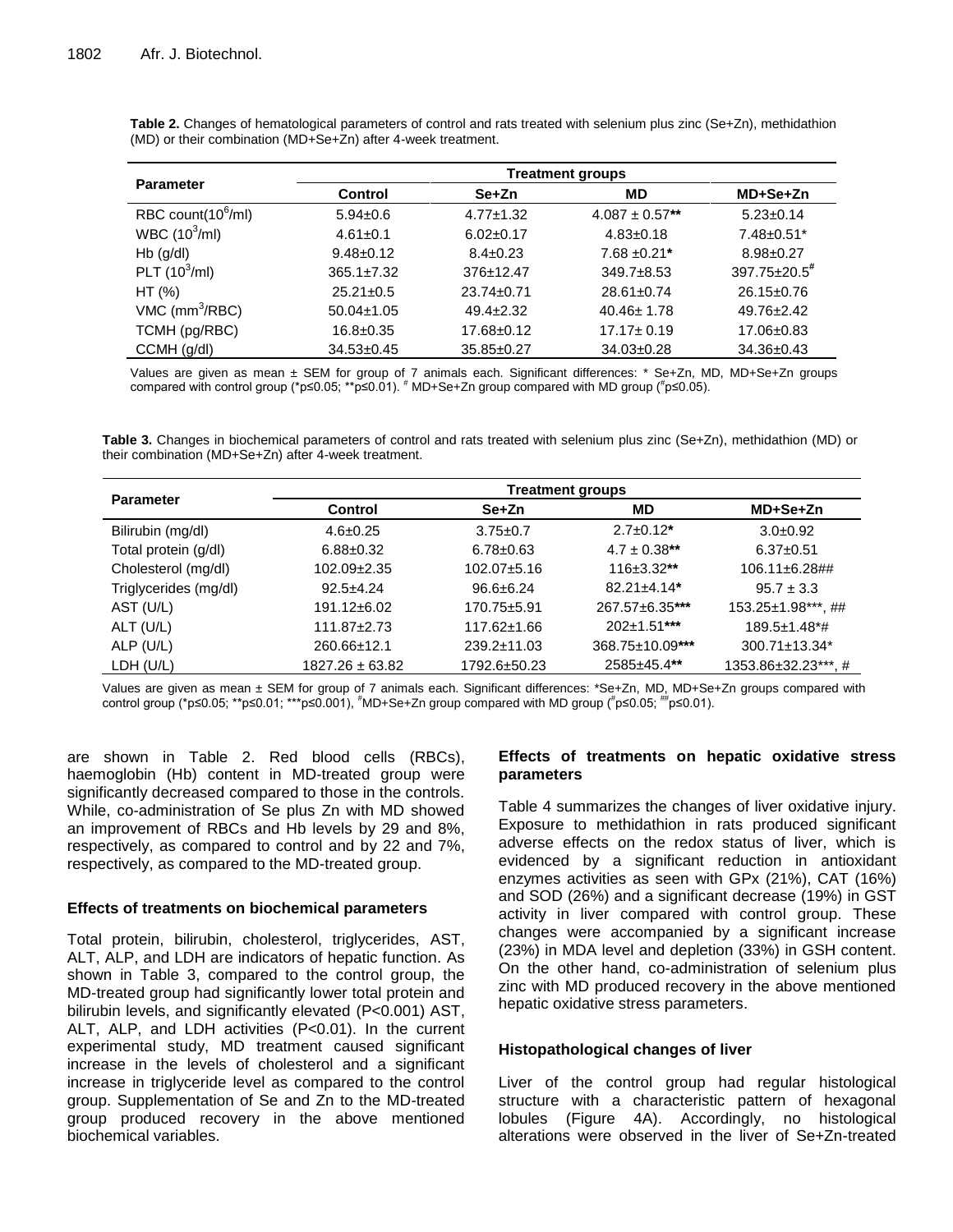| <b>Parameter</b>             | <b>Treatment groups</b> |                  |                    |                                |  |
|------------------------------|-------------------------|------------------|--------------------|--------------------------------|--|
|                              | <b>Control</b>          | Se+Zn            | <b>MD</b>          | MD+Se+Zn                       |  |
| RBC count $(10^6/ml)$        | $5.94 \pm 0.6$          | $4.77 \pm 1.32$  | $4.087 \pm 0.57**$ | $5.23 \pm 0.14$                |  |
| WBC $(10^3/ml)$              | $4.61 \pm 0.1$          | $6.02 \pm 0.17$  | $4.83 \pm 0.18$    | $7.48 \pm 0.51$ *              |  |
| $Hb$ (g/dl)                  | $9.48 \pm 0.12$         | $8.4 \pm 0.23$   | $7.68 \pm 0.21*$   | $8.98 \pm 0.27$                |  |
| PLT $(10^3$ /ml)             | $365.1 \pm 7.32$        | $376 \pm 12.47$  | $349.7 + 8.53$     | $397.75 \pm 20.5$ <sup>#</sup> |  |
| HT (%)                       | $25.21 \pm 0.5$         | $23.74 \pm 0.71$ | $28.61 \pm 0.74$   | $26.15 \pm 0.76$               |  |
| $VMC$ (mm <sup>3</sup> /RBC) | $50.04 \pm 1.05$        | $49.4 \pm 2.32$  | $40.46 \pm 1.78$   | $49.76 \pm 2.42$               |  |
| TCMH (pg/RBC)                | $16.8 \pm 0.35$         | $17.68 \pm 0.12$ | $17.17 \pm 0.19$   | $17.06 \pm 0.83$               |  |
| CCMH (g/dl)                  | $34.53 \pm 0.45$        | $35.85 \pm 0.27$ | $34.03 \pm 0.28$   | $34.36 \pm 0.43$               |  |

**Table 2.** Changes of hematological parameters of control and rats treated with selenium plus zinc (Se+Zn), methidathion (MD) or their combination (MD+Se+Zn) after 4-week treatment.

Values are given as mean ± SEM for group of 7 animals each. Significant differences: \* Se+Zn, MD, MD+Se+Zn groups compared with control group (\*p≤0.05; \*\*p≤0.01). # MD+Se+Zn group compared with MD group (# p≤0.05).

**Table 3.** Changes in biochemical parameters of control and rats treated with selenium plus zinc (Se+Zn), methidathion (MD) or their combination (MD+Se+Zn) after 4-week treatment.

| <b>Parameter</b>      | <b>Treatment groups</b> |                   |                               |                                 |  |
|-----------------------|-------------------------|-------------------|-------------------------------|---------------------------------|--|
|                       | <b>Control</b>          | Se+Zn             | MD                            | MD+Se+Zn                        |  |
| Bilirubin (mg/dl)     | $4.6 \pm 0.25$          | $3.75 \pm 0.7$    | $2.7 \pm 0.12^*$              | $3.0\pm0.92$                    |  |
| Total protein (g/dl)  | $6.88 \pm 0.32$         | $6.78 \pm 0.63$   | $4.7 \pm 0.38$ **             | $6.37 \pm 0.51$                 |  |
| Cholesterol (mg/dl)   | $102.09 \pm 2.35$       | $102.07 + 5.16$   | $116 \pm 3.32$ **             | $106.11 \pm 6.28$ ##            |  |
| Triglycerides (mg/dl) | $92.5 + 4.24$           | $96.6 \pm 6.24$   | $82.21 \pm 4.14$ <sup>*</sup> | $95.7 \pm 3.3$                  |  |
| AST (U/L)             | $191.12 \pm 6.02$       | $170.75 + 5.91$   | 267.57±6.35***                | 153.25±1.98***, ##              |  |
| $ALT$ (U/L)           | $111.87 \pm 2.73$       | $117.62 \pm 1.66$ | $202 \pm 1.51$ ***            | $189.5 \pm 1.48$ <sup>*</sup> # |  |
| ALP $(U/L)$           | 260.66±12.1             | $239.2 \pm 11.03$ | 368.75±10.09***               | $300.71 \pm 13.34$ <sup>*</sup> |  |
| LDH (U/L)             | $1827.26 \pm 63.82$     | 1792.6±50.23      | 2585±45.4**                   | 1353.86±32.23***.#              |  |

Values are given as mean ± SEM for group of 7 animals each. Significant differences: \*Se+Zn, MD, MD+Se+Zn groups compared with control group (\*p≤0.05; \*\*p≤0.01; \*\*\*p≤0.001), #MD+Se+Zn group compared with MD group (#p≤0.05; ##p≤0.01).

are shown in Table 2. Red blood cells (RBCs), haemoglobin (Hb) content in MD-treated group were significantly decreased compared to those in the controls. While, co-administration of Se plus Zn with MD showed an improvement of RBCs and Hb levels by 29 and 8%, respectively, as compared to control and by 22 and 7%, respectively, as compared to the MD-treated group.

# **Effects of treatments on biochemical parameters**

Total protein, bilirubin, cholesterol, triglycerides, AST, ALT, ALP, and LDH are indicators of hepatic function. As shown in Table 3, compared to the control group, the MD-treated group had significantly lower total protein and bilirubin levels, and significantly elevated (P<0.001) AST, ALT, ALP, and LDH activities (P<0.01). In the current experimental study, MD treatment caused significant increase in the levels of cholesterol and a significant increase in triglyceride level as compared to the control group. Supplementation of Se and Zn to the MD-treated group produced recovery in the above mentioned biochemical variables.

# **Effects of treatments on hepatic oxidative stress parameters**

Table 4 summarizes the changes of liver oxidative injury. Exposure to methidathion in rats produced significant adverse effects on the redox status of liver, which is evidenced by a significant reduction in antioxidant enzymes activities as seen with GPx (21%), CAT (16%) and SOD (26%) and a significant decrease (19%) in GST activity in liver compared with control group. These changes were accompanied by a significant increase (23%) in MDA level and depletion (33%) in GSH content. On the other hand, co-administration of selenium plus zinc with MD produced recovery in the above mentioned hepatic oxidative stress parameters.

# **Histopathological changes of liver**

Liver of the control group had regular histological structure with a characteristic pattern of hexagonal lobules (Figure 4A). Accordingly, no histological alterations were observed in the liver of Se+Zn-treated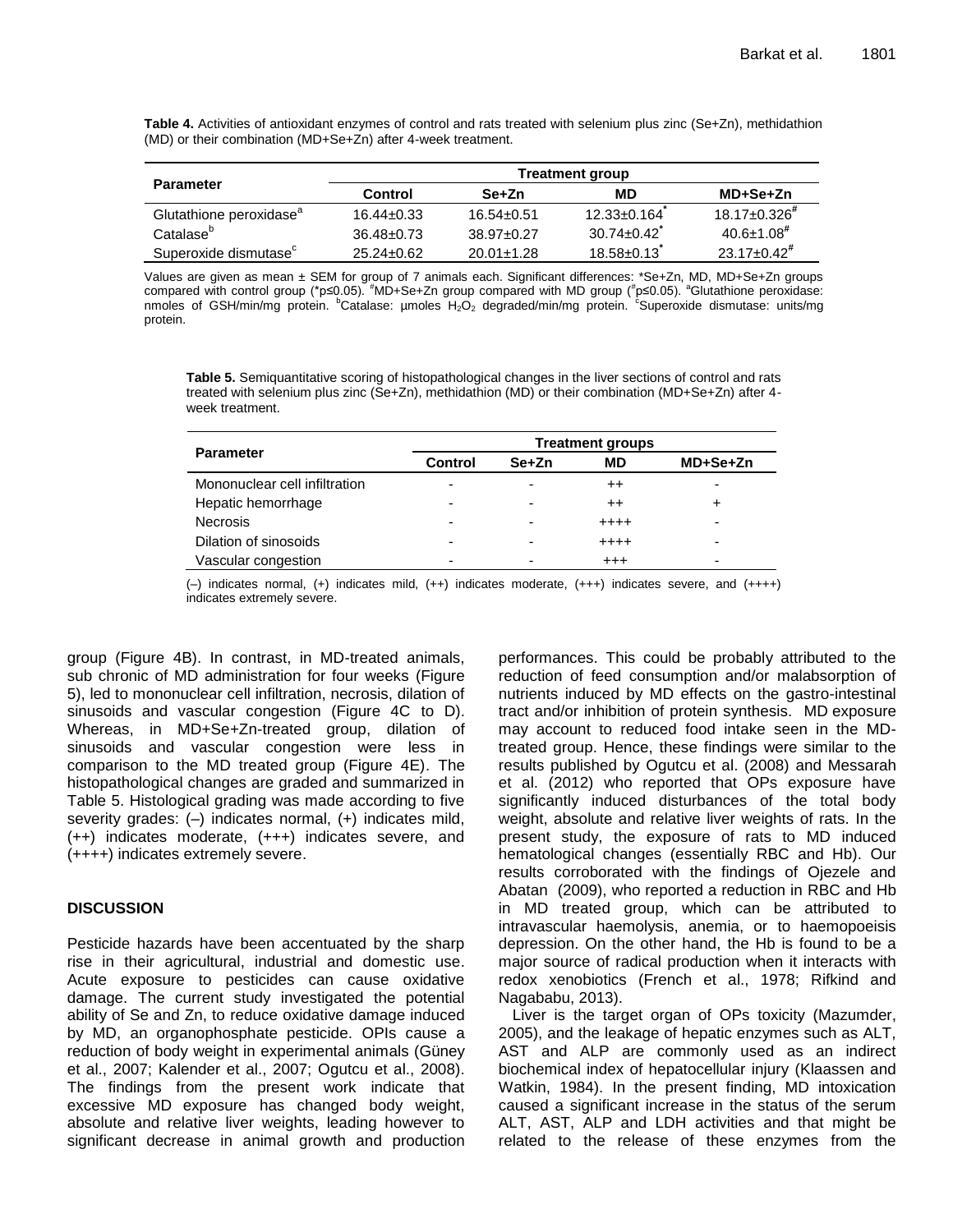**Table 4.** Activities of antioxidant enzymes of control and rats treated with selenium plus zinc (Se+Zn), methidathion (MD) or their combination (MD+Se+Zn) after 4-week treatment.

|                                     | Treatment group  |                  |                   |                               |  |
|-------------------------------------|------------------|------------------|-------------------|-------------------------------|--|
| <b>Parameter</b>                    | Control          | Se+Zn            | МD                | MD+Se+Zn                      |  |
| Glutathione peroxidase <sup>a</sup> | $16.44 \pm 0.33$ | $16.54 \pm 0.51$ | $12.33 \pm 0.164$ | $18.17 + 0.326$ <sup>#</sup>  |  |
| Catalase <sup>b</sup>               | $36.48 \pm 0.73$ | $38.97 + 0.27$   | $30.74 + 0.42$    | $40.6 \pm 1.08$ <sup>#</sup>  |  |
| Superoxide dismutase <sup>c</sup>   | $25.24 \pm 0.62$ | $20.01 \pm 1.28$ | $18.58 \pm 0.13$  | $23.17 \pm 0.42$ <sup>#</sup> |  |

Values are given as mean ± SEM for group of 7 animals each. Significant differences: \*Se+Zn, MD, MD+Se+Zn groups compared with control group (\*p≤0.05). <sup>#</sup>MD+Se+Zn group compared with MD group (<sup>#</sup>p≤0.05). <sup>a</sup>Glutathione peroxidase: nmoles of GSH/min/mg protein.  ${}^{\text{b}}$ Catalase: µmoles  $H_2O_2$  degraded/min/mg protein.  ${}^{\text{c}}$ Superoxide dismutase: units/mg protein.

**Table 5.** Semiquantitative scoring of histopathological changes in the liver sections of control and rats treated with selenium plus zinc (Se+Zn), methidathion (MD) or their combination (MD+Se+Zn) after 4 week treatment.

|                               | <b>Treatment groups</b> |                          |                  |          |  |
|-------------------------------|-------------------------|--------------------------|------------------|----------|--|
| <b>Parameter</b>              | Control                 | Se+Zn                    | MD               | MD+Se+Zn |  |
| Mononuclear cell infiltration | -                       | $\overline{\phantom{0}}$ | $^{\mathrm{++}}$ | -        |  |
| Hepatic hemorrhage            | -                       | $\overline{\phantom{0}}$ | $^{\mathrm{++}}$ |          |  |
| <b>Necrosis</b>               | -                       | -                        | $+ + + +$        |          |  |
| Dilation of sinosoids         | -                       | -                        | $+ + + +$        |          |  |
| Vascular congestion           | -                       | -                        | $^{++}$          | -        |  |

(–) indicates normal, (+) indicates mild, (++) indicates moderate, (+++) indicates severe, and (++++) indicates extremely severe.

group (Figure 4B). In contrast, in MD-treated animals, sub chronic of MD administration for four weeks (Figure 5), led to mononuclear cell infiltration, necrosis, dilation of sinusoids and vascular congestion (Figure 4C to D). Whereas, in MD+Se+Zn-treated group, dilation of sinusoids and vascular congestion were less in comparison to the MD treated group (Figure 4E). The histopathological changes are graded and summarized in Table 5. Histological grading was made according to five severity grades: (–) indicates normal, (+) indicates mild, (++) indicates moderate, (+++) indicates severe, and (++++) indicates extremely severe.

# **DISCUSSION**

Pesticide hazards have been accentuated by the sharp rise in their agricultural, industrial and domestic use. Acute exposure to pesticides can cause oxidative damage. The current study investigated the potential ability of Se and Zn, to reduce oxidative damage induced by MD, an organophosphate pesticide. OPIs cause a reduction of body weight in experimental animals (Güney et al., 2007; Kalender et al., 2007; Ogutcu et al., 2008). The findings from the present work indicate that excessive MD exposure has changed body weight, absolute and relative liver weights, leading however to significant decrease in animal growth and production performances. This could be probably attributed to the reduction of feed consumption and/or malabsorption of nutrients induced by MD effects on the gastro-intestinal tract and/or inhibition of protein synthesis. MD exposure may account to reduced food intake seen in the MDtreated group. Hence, these findings were similar to the results published by Ogutcu et al. (2008) and Messarah et al. (2012) who reported that OPs exposure have significantly induced disturbances of the total body weight, absolute and relative liver weights of rats. In the present study, the exposure of rats to MD induced hematological changes (essentially RBC and Hb). Our results corroborated with the findings of Ojezele and Abatan (2009), who reported a reduction in RBC and Hb in MD treated group, which can be attributed to intravascular haemolysis, anemia, or to haemopoeisis depression. On the other hand, the Hb is found to be a major source of radical production when it interacts with redox xenobiotics (French et al., 1978; Rifkind and Nagababu, 2013).

Liver is the target organ of OPs toxicity (Mazumder, 2005), and the leakage of hepatic enzymes such as ALT, AST and ALP are commonly used as an indirect biochemical index of hepatocellular injury (Klaassen and Watkin, 1984). In the present finding, MD intoxication caused a significant increase in the status of the serum ALT, AST, ALP and LDH activities and that might be related to the release of these enzymes from the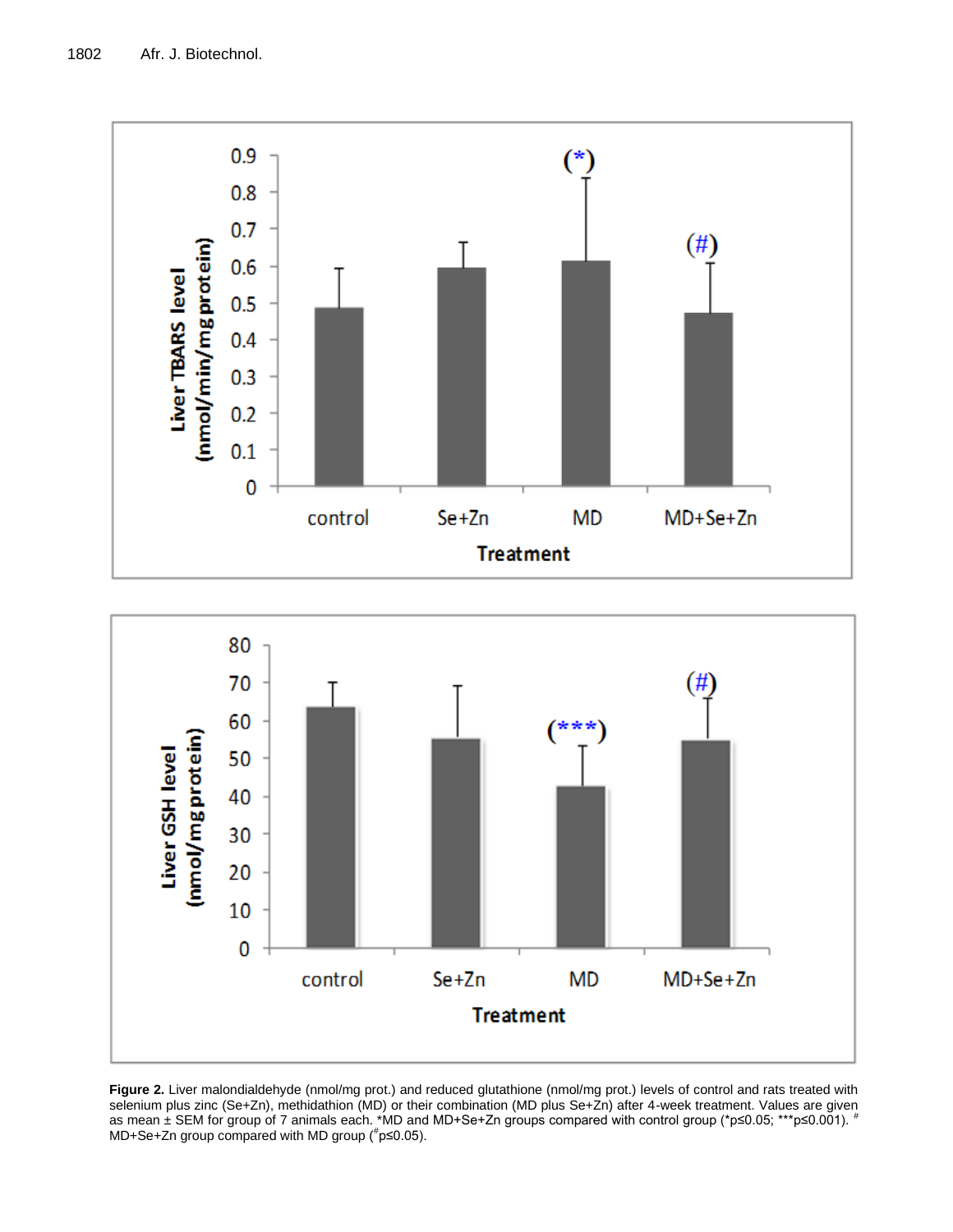



**Figure 2.** Liver malondialdehyde (nmol/mg prot.) and reduced glutathione (nmol/mg prot.) levels of control and rats treated with selenium plus zinc (Se+Zn), methidathion (MD) or their combination (MD plus Se+Zn) after 4-week treatment. Values are given as mean ± SEM for group of 7 animals each. \*MD and MD+Se+Zn groups compared with control group (\*p≤0.05; \*\*\*p≤0.001). # MD+Se+Zn group compared with MD group ( $p \leq 0.05$ ).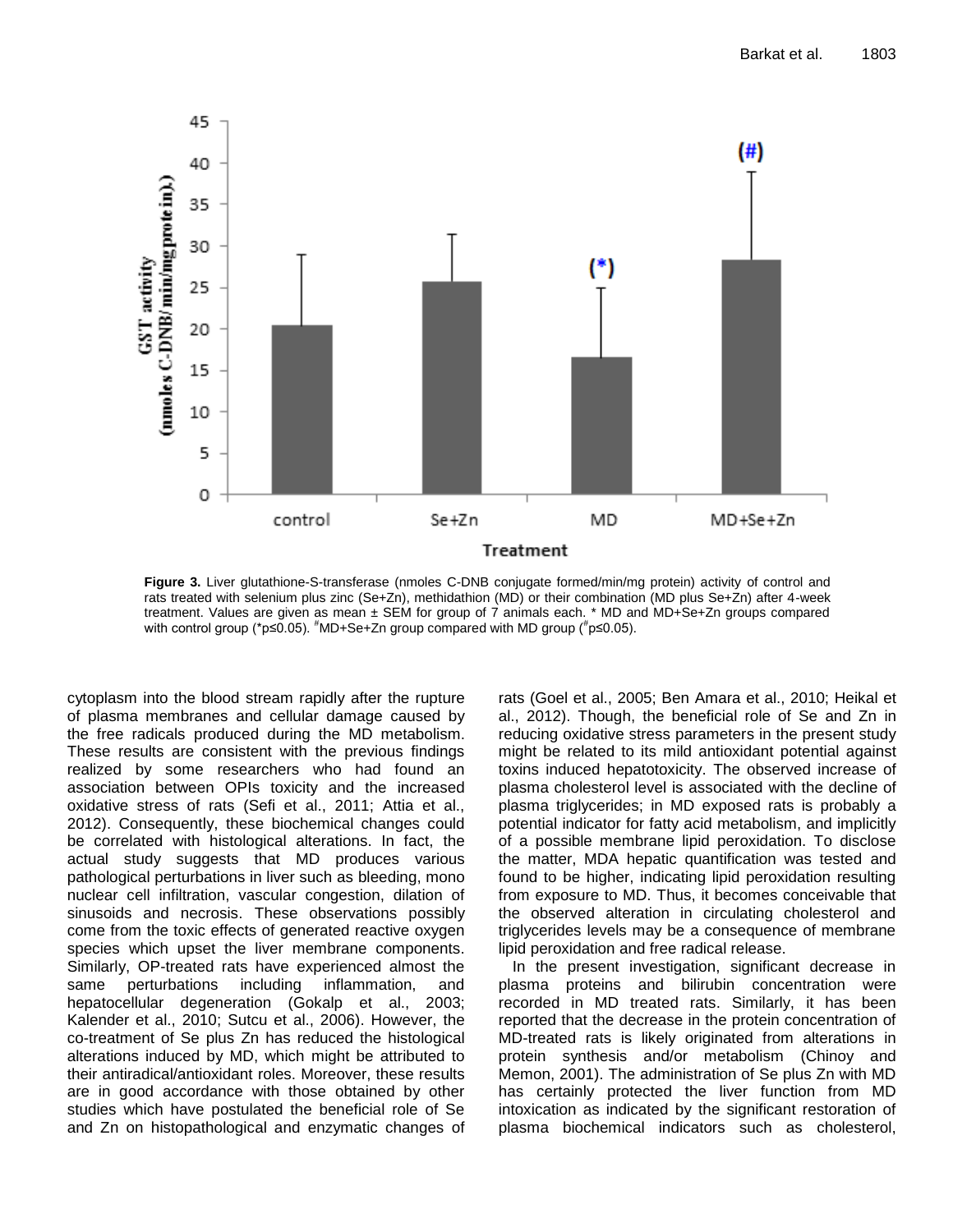

**Figure 3.** Liver glutathione-S-transferase (nmoles C-DNB conjugate formed/min/mg protein) activity of control and rats treated with selenium plus zinc (Se+Zn), methidathion (MD) or their combination (MD plus Se+Zn) after 4-week treatment. Values are given as mean ± SEM for group of 7 animals each. \* MD and MD+Se+Zn groups compared with control group (\*p≤0.05). <sup>#</sup>MD+Se+Zn group compared with MD group (<sup>#</sup>p≤0.05).

cytoplasm into the blood stream rapidly after the rupture of plasma membranes and cellular damage caused by the free radicals produced during the MD metabolism. These results are consistent with the previous findings realized by some researchers who had found an association between OPIs toxicity and the increased oxidative stress of rats (Sefi et al., 2011; Attia et al., 2012). Consequently, these biochemical changes could be correlated with histological alterations. In fact, the actual study suggests that MD produces various pathological perturbations in liver such as bleeding, mono nuclear cell infiltration, vascular congestion, dilation of sinusoids and necrosis. These observations possibly come from the toxic effects of generated reactive oxygen species which upset the liver membrane components. Similarly, OP-treated rats have experienced almost the same perturbations including inflammation, and hepatocellular degeneration (Gokalp et al., 2003; Kalender et al., 2010; Sutcu et al., 2006). However, the co-treatment of Se plus Zn has reduced the histological alterations induced by MD, which might be attributed to their antiradical/antioxidant roles. Moreover, these results are in good accordance with those obtained by other studies which have postulated the beneficial role of Se and Zn on histopathological and enzymatic changes of

rats (Goel et al., 2005; Ben Amara et al., 2010; Heikal et al., 2012). Though, the beneficial role of Se and Zn in reducing oxidative stress parameters in the present study might be related to its mild antioxidant potential against toxins induced hepatotoxicity. The observed increase of plasma cholesterol level is associated with the decline of plasma triglycerides; in MD exposed rats is probably a potential indicator for fatty acid metabolism, and implicitly of a possible membrane lipid peroxidation. To disclose the matter, MDA hepatic quantification was tested and found to be higher, indicating lipid peroxidation resulting from exposure to MD. Thus, it becomes conceivable that the observed alteration in circulating cholesterol and triglycerides levels may be a consequence of membrane lipid peroxidation and free radical release.

In the present investigation, significant decrease in plasma proteins and bilirubin concentration were recorded in MD treated rats. Similarly, it has been reported that the decrease in the protein concentration of MD-treated rats is likely originated from alterations in protein synthesis and/or metabolism (Chinoy and Memon, 2001). The administration of Se plus Zn with MD has certainly protected the liver function from MD intoxication as indicated by the significant restoration of plasma biochemical indicators such as cholesterol,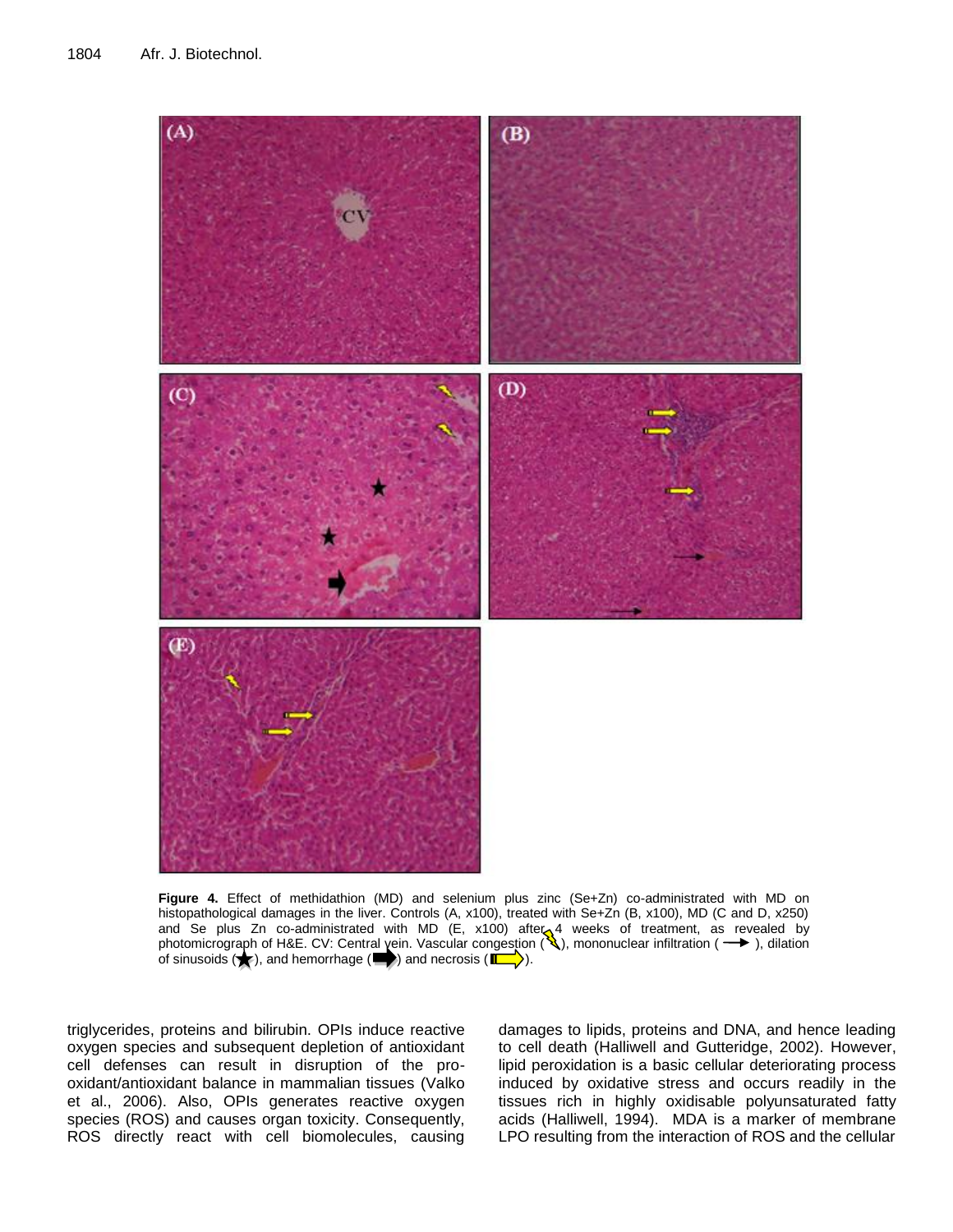

**Figure 4.** Effect of methidathion (MD) and selenium plus zinc (Se+Zn) co-administrated with MD on histopathological damages in the liver. Controls (A, x100), treated with Se+Zn (B, x100), MD (C and D, x250) and Se plus Zn co-administrated with MD (E, x100) after 4 weeks of treatment, as revealed by photomicrograph of H&E. CV: Central yein. Vascular congestion ( ), mononuclear infiltration (  $\rightarrow$  ), dilation of sinusoids  $(\blacktriangleright)$ , and hemorrhage ( $\blacktriangleright)$ ) and necrosis ( $\blacktriangleright$ ).

triglycerides, proteins and bilirubin. OPIs induce reactive oxygen species and subsequent depletion of antioxidant cell defenses can result in disruption of the prooxidant/antioxidant balance in mammalian tissues (Valko et al., 2006). Also, OPIs generates reactive oxygen species (ROS) and causes organ toxicity. Consequently, ROS directly react with cell biomolecules, causing

damages to lipids, proteins and DNA, and hence leading to cell death (Halliwell and Gutteridge, 2002). However, lipid peroxidation is a basic cellular deteriorating process induced by oxidative stress and occurs readily in the tissues rich in highly oxidisable polyunsaturated fatty acids (Halliwell, 1994). MDA is a marker of membrane LPO resulting from the interaction of ROS and the cellular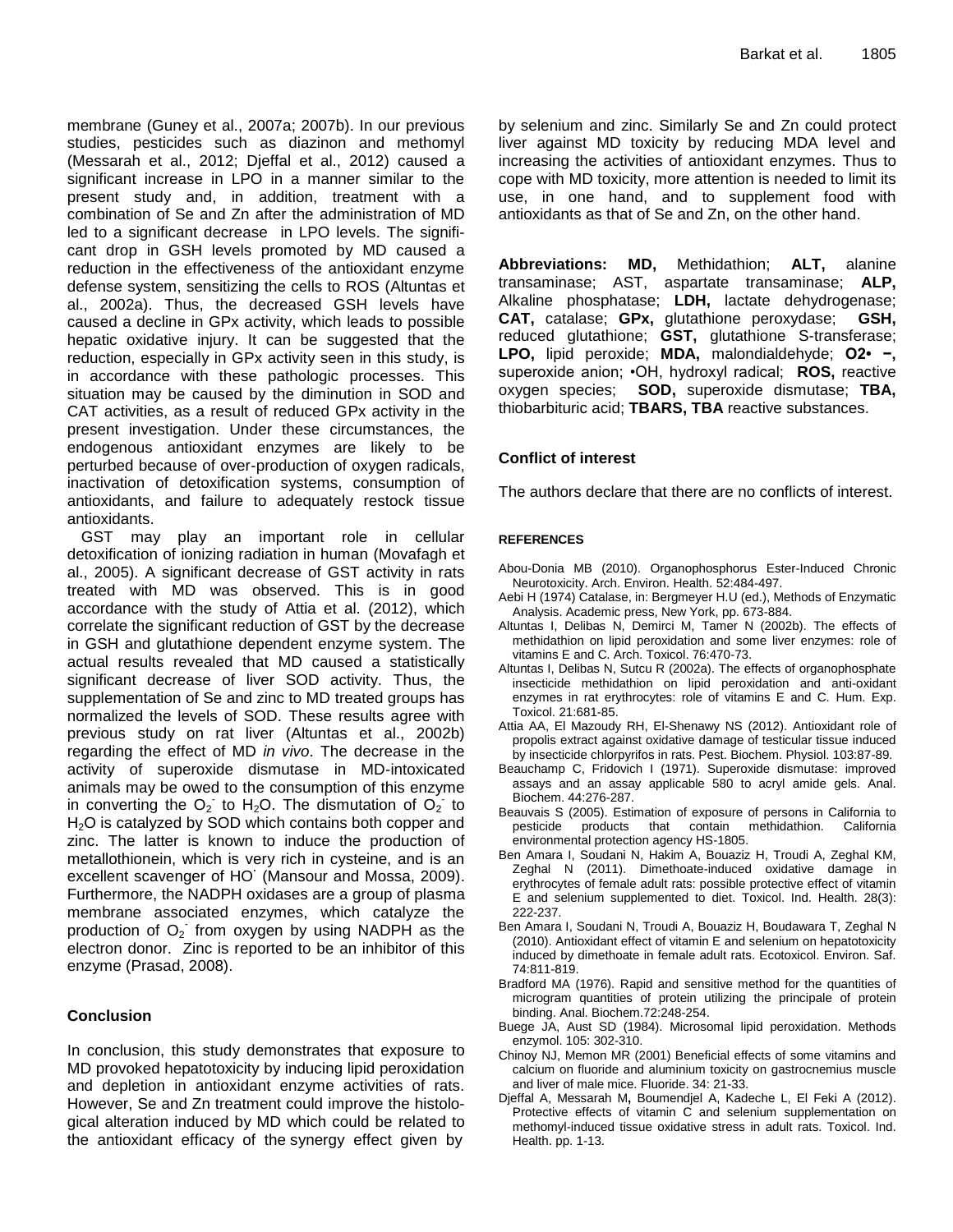membrane (Guney et al., 2007a; 2007b). In our previous studies, pesticides such as diazinon and methomyl (Messarah et al., 2012; Djeffal et al., 2012) caused a significant increase in LPO in a manner similar to the present study and, in addition, treatment with a combination of Se and Zn after the administration of MD led to a significant decrease in LPO levels. The significant drop in GSH levels promoted by MD caused a reduction in the effectiveness of the antioxidant enzyme defense system, sensitizing the cells to ROS (Altuntas et al., 2002a). Thus, the decreased GSH levels have caused a decline in GPx activity, which leads to possible hepatic oxidative injury. It can be suggested that the reduction, especially in GPx activity seen in this study, is in accordance with these pathologic processes. This situation may be caused by the diminution in SOD and CAT activities, as a result of reduced GPx activity in the present investigation. Under these circumstances, the endogenous antioxidant enzymes are likely to be perturbed because of over-production of oxygen radicals, inactivation of detoxification systems, consumption of antioxidants, and failure to adequately restock tissue antioxidants.

GST may play an important role in cellular detoxification of ionizing radiation in human (Movafagh et al., 2005). A significant decrease of GST activity in rats treated with MD was observed. This is in good accordance with the study of Attia et al. (2012), which correlate the significant reduction of GST by the decrease in GSH and glutathione dependent enzyme system. The actual results revealed that MD caused a statistically significant decrease of liver SOD activity. Thus, the supplementation of Se and zinc to MD treated groups has normalized the levels of SOD. These results agree with previous study on rat liver (Altuntas et al., 2002b) regarding the effect of MD *in vivo*. The decrease in the activity of superoxide dismutase in MD-intoxicated animals may be owed to the consumption of this enzyme in converting the  $O_2$  to H<sub>2</sub>O. The dismutation of  $O_2$  to H<sub>2</sub>O is catalyzed by SOD which contains both copper and zinc. The latter is known to induce the production of metallothionein, which is very rich in cysteine, and is an excellent scavenger of HO**·** (Mansour and Mossa, 2009). Furthermore, the NADPH oxidases are a group of plasma membrane associated enzymes, which catalyze the production of  $O_2$  from oxygen by using NADPH as the electron donor. Zinc is reported to be an inhibitor of this enzyme (Prasad, 2008).

# **Conclusion**

In conclusion, this study demonstrates that exposure to MD provoked hepatotoxicity by inducing lipid peroxidation and depletion in antioxidant enzyme activities of rats. However, Se and Zn treatment could improve the histological alteration induced by MD which could be related to the antioxidant efficacy of the synergy effect given by

by selenium and zinc. Similarly Se and Zn could protect liver against MD toxicity by reducing MDA level and increasing the activities of antioxidant enzymes. Thus to cope with MD toxicity, more attention is needed to limit its use, in one hand, and to supplement food with antioxidants as that of Se and Zn, on the other hand.

**Abbreviations: MD,** Methidathion; **ALT,** alanine transaminase; AST, aspartate transaminase; **ALP,** Alkaline phosphatase; **LDH,** lactate dehydrogenase; **CAT,** catalase; **GPx,** glutathione peroxydase; **GSH,** reduced glutathione; **GST,** glutathione S-transferase; **LPO,** lipid peroxide; **MDA,** malondialdehyde; **O2• −,** superoxide anion; •OH, hydroxyl radical; **ROS,** reactive oxygen species; **SOD,** superoxide dismutase; **TBA,** thiobarbituric acid; **TBARS, TBA** reactive substances.

# **Conflict of interest**

The authors declare that there are no conflicts of interest.

#### **REFERENCES**

- Abou-Donia MB (2010). Organophosphorus Ester-Induced Chronic Neurotoxicity. Arch. Environ. Health. 52:484-497.
- Aebi H (1974) Catalase, in: Bergmeyer H.U (ed.), Methods of Enzymatic Analysis. Academic press, New York, pp. 673-884.
- Altuntas I, Delibas N, Demirci M, Tamer N (2002b). The effects of methidathion on lipid peroxidation and some liver enzymes: role of vitamins E and C. Arch. Toxicol. 76:470-73.
- Altuntas I, Delibas N, Sutcu R (2002a). The effects of organophosphate insecticide methidathion on lipid peroxidation and anti-oxidant enzymes in rat erythrocytes: role of vitamins E and C. Hum. Exp. Toxicol. 21:681-85.
- Attia AA, El Mazoudy RH, El-Shenawy NS (2012). Antioxidant role of propolis extract against oxidative damage of testicular tissue induced by insecticide chlorpyrifos in rats. Pest. Biochem. Physiol. 103:87-89.
- Beauchamp C, Fridovich I (1971). Superoxide dismutase: improved assays and an assay applicable 580 to acryl amide gels. Anal. Biochem. 44:276-287.
- Beauvais S (2005). Estimation of exposure of persons in California to pesticide products that contain methidathion. California environmental protection agency HS-1805.
- Ben Amara I, Soudani N, Hakim A, Bouaziz H, Troudi A, Zeghal KM, Zeghal N (2011). Dimethoate-induced oxidative damage in erythrocytes of female adult rats: possible protective effect of vitamin E and selenium supplemented to diet. Toxicol. Ind. Health. 28(3): 222-237.
- Ben Amara I, Soudani N, Troudi A, Bouaziz H, Boudawara T, Zeghal N (2010). Antioxidant effect of vitamin E and selenium on hepatotoxicity induced by dimethoate in female adult rats. Ecotoxicol. Environ. Saf. 74:811-819.
- Bradford MA (1976). Rapid and sensitive method for the quantities of microgram quantities of protein utilizing the principale of protein binding. Anal. Biochem.72:248-254.
- Buege JA, Aust SD (1984). Microsomal lipid peroxidation. Methods enzymol. 105: 302-310.
- Chinoy NJ, Memon MR (2001) Beneficial effects of some vitamins and calcium on fluoride and aluminium toxicity on gastrocnemius muscle and liver of male mice. Fluoride. 34: 21-33.
- Djeffal A, Messarah M**,** Boumendjel A, Kadeche L, El Feki A (2012). Protective effects of vitamin C and selenium supplementation on methomyl-induced tissue oxidative stress in adult rats. Toxicol. Ind. Health. pp. 1-13.